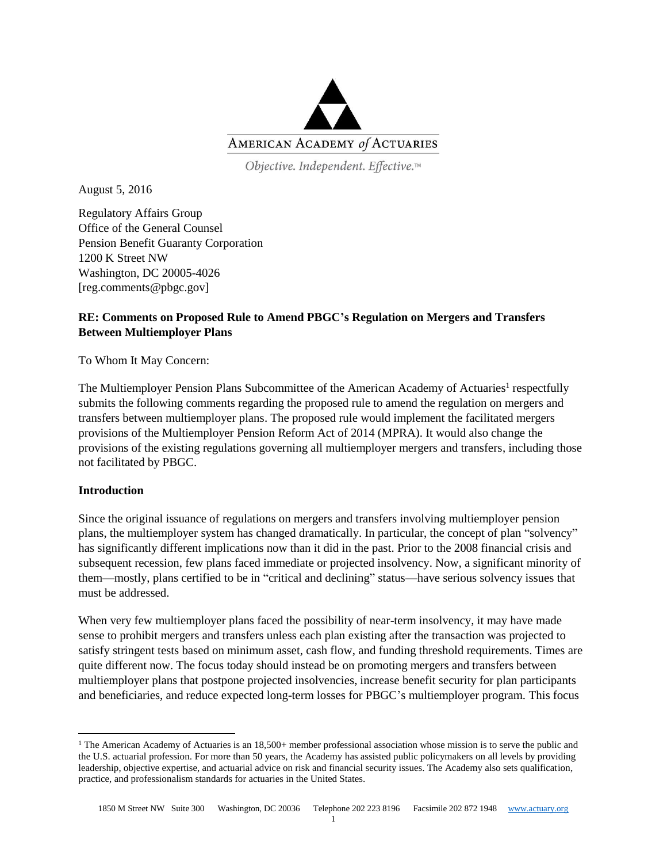

Objective. Independent. Effective.™

August 5, 2016

Regulatory Affairs Group Office of the General Counsel Pension Benefit Guaranty Corporation 1200 K Street NW Washington, DC 20005-4026 [reg.comments@pbgc.gov]

# **RE: Comments on Proposed Rule to Amend PBGC's Regulation on Mergers and Transfers Between Multiemployer Plans**

To Whom It May Concern:

The Multiemployer Pension Plans Subcommittee of the American Academy of Actuaries<sup>1</sup> respectfully submits the following comments regarding the proposed rule to amend the regulation on mergers and transfers between multiemployer plans. The proposed rule would implement the facilitated mergers provisions of the Multiemployer Pension Reform Act of 2014 (MPRA). It would also change the provisions of the existing regulations governing all multiemployer mergers and transfers, including those not facilitated by PBGC.

## **Introduction**

 $\overline{\phantom{a}}$ 

Since the original issuance of regulations on mergers and transfers involving multiemployer pension plans, the multiemployer system has changed dramatically. In particular, the concept of plan "solvency" has significantly different implications now than it did in the past. Prior to the 2008 financial crisis and subsequent recession, few plans faced immediate or projected insolvency. Now, a significant minority of them—mostly, plans certified to be in "critical and declining" status—have serious solvency issues that must be addressed.

When very few multiemployer plans faced the possibility of near-term insolvency, it may have made sense to prohibit mergers and transfers unless each plan existing after the transaction was projected to satisfy stringent tests based on minimum asset, cash flow, and funding threshold requirements. Times are quite different now. The focus today should instead be on promoting mergers and transfers between multiemployer plans that postpone projected insolvencies, increase benefit security for plan participants and beneficiaries, and reduce expected long-term losses for PBGC's multiemployer program. This focus

<sup>&</sup>lt;sup>1</sup> The American Academy of Actuaries is an  $18,500+$  member professional association whose mission is to serve the public and the U.S. actuarial profession. For more than 50 years, the Academy has assisted public policymakers on all levels by providing leadership, objective expertise, and actuarial advice on risk and financial security issues. The Academy also sets qualification, practice, and professionalism standards for actuaries in the United States.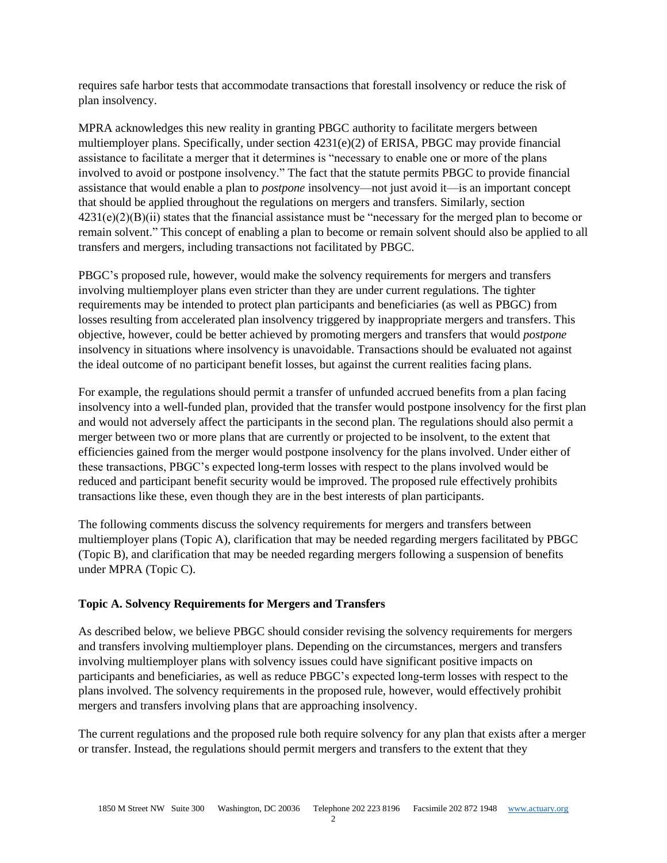requires safe harbor tests that accommodate transactions that forestall insolvency or reduce the risk of plan insolvency.

MPRA acknowledges this new reality in granting PBGC authority to facilitate mergers between multiemployer plans. Specifically, under section 4231(e)(2) of ERISA, PBGC may provide financial assistance to facilitate a merger that it determines is "necessary to enable one or more of the plans involved to avoid or postpone insolvency." The fact that the statute permits PBGC to provide financial assistance that would enable a plan to *postpone* insolvency—not just avoid it—is an important concept that should be applied throughout the regulations on mergers and transfers. Similarly, section  $4231(e)(2)(B)(ii)$  states that the financial assistance must be "necessary for the merged plan to become or remain solvent." This concept of enabling a plan to become or remain solvent should also be applied to all transfers and mergers, including transactions not facilitated by PBGC.

PBGC's proposed rule, however, would make the solvency requirements for mergers and transfers involving multiemployer plans even stricter than they are under current regulations. The tighter requirements may be intended to protect plan participants and beneficiaries (as well as PBGC) from losses resulting from accelerated plan insolvency triggered by inappropriate mergers and transfers. This objective, however, could be better achieved by promoting mergers and transfers that would *postpone* insolvency in situations where insolvency is unavoidable. Transactions should be evaluated not against the ideal outcome of no participant benefit losses, but against the current realities facing plans.

For example, the regulations should permit a transfer of unfunded accrued benefits from a plan facing insolvency into a well-funded plan, provided that the transfer would postpone insolvency for the first plan and would not adversely affect the participants in the second plan. The regulations should also permit a merger between two or more plans that are currently or projected to be insolvent, to the extent that efficiencies gained from the merger would postpone insolvency for the plans involved. Under either of these transactions, PBGC's expected long-term losses with respect to the plans involved would be reduced and participant benefit security would be improved. The proposed rule effectively prohibits transactions like these, even though they are in the best interests of plan participants.

The following comments discuss the solvency requirements for mergers and transfers between multiemployer plans (Topic A), clarification that may be needed regarding mergers facilitated by PBGC (Topic B), and clarification that may be needed regarding mergers following a suspension of benefits under MPRA (Topic C).

## **Topic A. Solvency Requirements for Mergers and Transfers**

As described below, we believe PBGC should consider revising the solvency requirements for mergers and transfers involving multiemployer plans. Depending on the circumstances, mergers and transfers involving multiemployer plans with solvency issues could have significant positive impacts on participants and beneficiaries, as well as reduce PBGC's expected long-term losses with respect to the plans involved. The solvency requirements in the proposed rule, however, would effectively prohibit mergers and transfers involving plans that are approaching insolvency.

The current regulations and the proposed rule both require solvency for any plan that exists after a merger or transfer. Instead, the regulations should permit mergers and transfers to the extent that they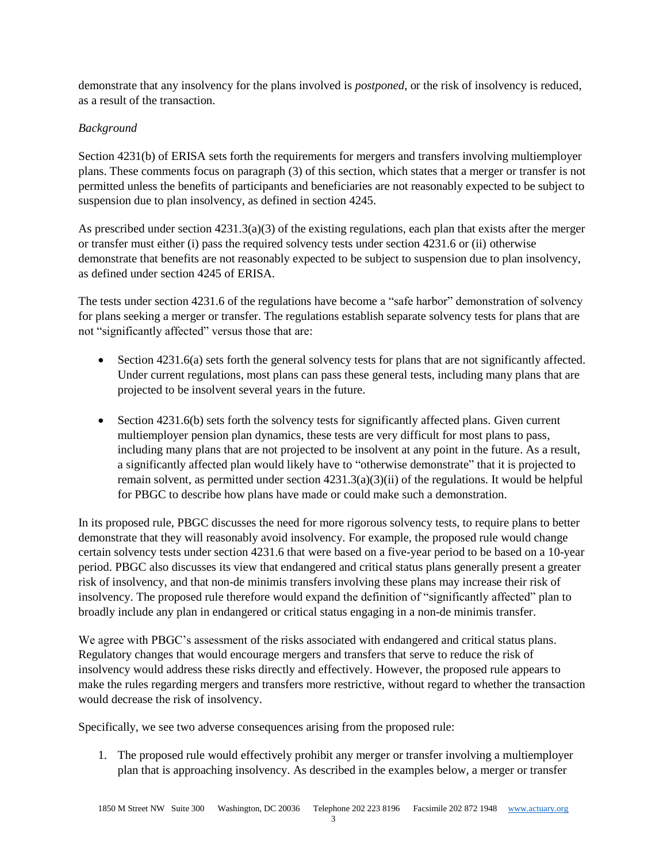demonstrate that any insolvency for the plans involved is *postponed*, or the risk of insolvency is reduced, as a result of the transaction.

# *Background*

Section 4231(b) of ERISA sets forth the requirements for mergers and transfers involving multiemployer plans. These comments focus on paragraph (3) of this section, which states that a merger or transfer is not permitted unless the benefits of participants and beneficiaries are not reasonably expected to be subject to suspension due to plan insolvency, as defined in section 4245.

As prescribed under section  $4231.3(a)(3)$  of the existing regulations, each plan that exists after the merger or transfer must either (i) pass the required solvency tests under section 4231.6 or (ii) otherwise demonstrate that benefits are not reasonably expected to be subject to suspension due to plan insolvency, as defined under section 4245 of ERISA.

The tests under section 4231.6 of the regulations have become a "safe harbor" demonstration of solvency for plans seeking a merger or transfer. The regulations establish separate solvency tests for plans that are not "significantly affected" versus those that are:

- $\bullet$  Section 4231.6(a) sets forth the general solvency tests for plans that are not significantly affected. Under current regulations, most plans can pass these general tests, including many plans that are projected to be insolvent several years in the future.
- $\bullet$  Section 4231.6(b) sets forth the solvency tests for significantly affected plans. Given current multiemployer pension plan dynamics, these tests are very difficult for most plans to pass, including many plans that are not projected to be insolvent at any point in the future. As a result, a significantly affected plan would likely have to "otherwise demonstrate" that it is projected to remain solvent, as permitted under section 4231.3(a)(3)(ii) of the regulations. It would be helpful for PBGC to describe how plans have made or could make such a demonstration.

In its proposed rule, PBGC discusses the need for more rigorous solvency tests, to require plans to better demonstrate that they will reasonably avoid insolvency. For example, the proposed rule would change certain solvency tests under section 4231.6 that were based on a five-year period to be based on a 10-year period. PBGC also discusses its view that endangered and critical status plans generally present a greater risk of insolvency, and that non-de minimis transfers involving these plans may increase their risk of insolvency. The proposed rule therefore would expand the definition of "significantly affected" plan to broadly include any plan in endangered or critical status engaging in a non-de minimis transfer.

We agree with PBGC's assessment of the risks associated with endangered and critical status plans. Regulatory changes that would encourage mergers and transfers that serve to reduce the risk of insolvency would address these risks directly and effectively. However, the proposed rule appears to make the rules regarding mergers and transfers more restrictive, without regard to whether the transaction would decrease the risk of insolvency.

Specifically, we see two adverse consequences arising from the proposed rule:

1. The proposed rule would effectively prohibit any merger or transfer involving a multiemployer plan that is approaching insolvency. As described in the examples below, a merger or transfer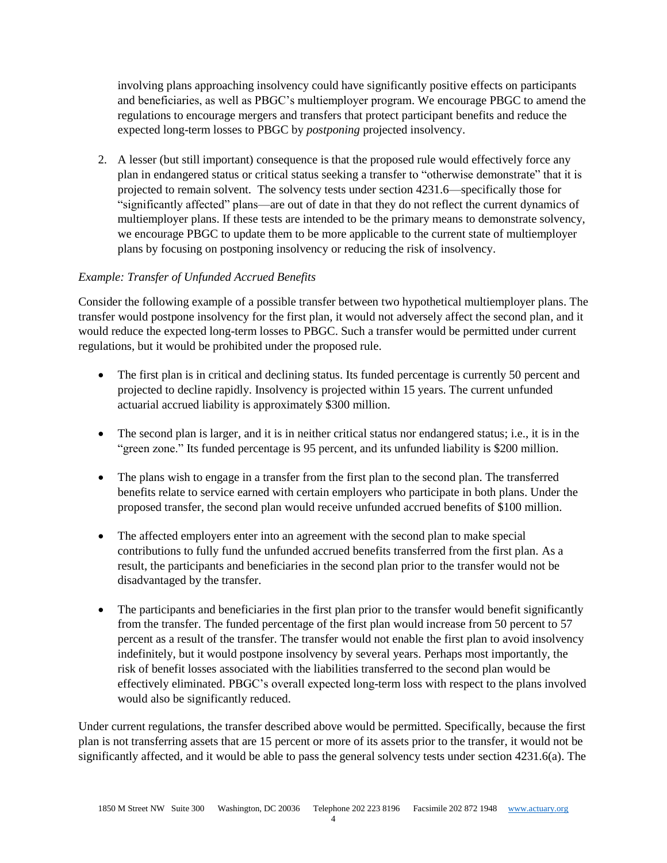involving plans approaching insolvency could have significantly positive effects on participants and beneficiaries, as well as PBGC's multiemployer program. We encourage PBGC to amend the regulations to encourage mergers and transfers that protect participant benefits and reduce the expected long-term losses to PBGC by *postponing* projected insolvency.

2. A lesser (but still important) consequence is that the proposed rule would effectively force any plan in endangered status or critical status seeking a transfer to "otherwise demonstrate" that it is projected to remain solvent. The solvency tests under section 4231.6—specifically those for "significantly affected" plans—are out of date in that they do not reflect the current dynamics of multiemployer plans. If these tests are intended to be the primary means to demonstrate solvency, we encourage PBGC to update them to be more applicable to the current state of multiemployer plans by focusing on postponing insolvency or reducing the risk of insolvency.

## *Example: Transfer of Unfunded Accrued Benefits*

Consider the following example of a possible transfer between two hypothetical multiemployer plans. The transfer would postpone insolvency for the first plan, it would not adversely affect the second plan, and it would reduce the expected long-term losses to PBGC. Such a transfer would be permitted under current regulations, but it would be prohibited under the proposed rule.

- The first plan is in critical and declining status. Its funded percentage is currently 50 percent and projected to decline rapidly. Insolvency is projected within 15 years. The current unfunded actuarial accrued liability is approximately \$300 million.
- The second plan is larger, and it is in neither critical status nor endangered status; i.e., it is in the "green zone." Its funded percentage is 95 percent, and its unfunded liability is \$200 million.
- The plans wish to engage in a transfer from the first plan to the second plan. The transferred benefits relate to service earned with certain employers who participate in both plans. Under the proposed transfer, the second plan would receive unfunded accrued benefits of \$100 million.
- The affected employers enter into an agreement with the second plan to make special contributions to fully fund the unfunded accrued benefits transferred from the first plan. As a result, the participants and beneficiaries in the second plan prior to the transfer would not be disadvantaged by the transfer.
- The participants and beneficiaries in the first plan prior to the transfer would benefit significantly from the transfer. The funded percentage of the first plan would increase from 50 percent to 57 percent as a result of the transfer. The transfer would not enable the first plan to avoid insolvency indefinitely, but it would postpone insolvency by several years. Perhaps most importantly, the risk of benefit losses associated with the liabilities transferred to the second plan would be effectively eliminated. PBGC's overall expected long-term loss with respect to the plans involved would also be significantly reduced.

Under current regulations, the transfer described above would be permitted. Specifically, because the first plan is not transferring assets that are 15 percent or more of its assets prior to the transfer, it would not be significantly affected, and it would be able to pass the general solvency tests under section 4231.6(a). The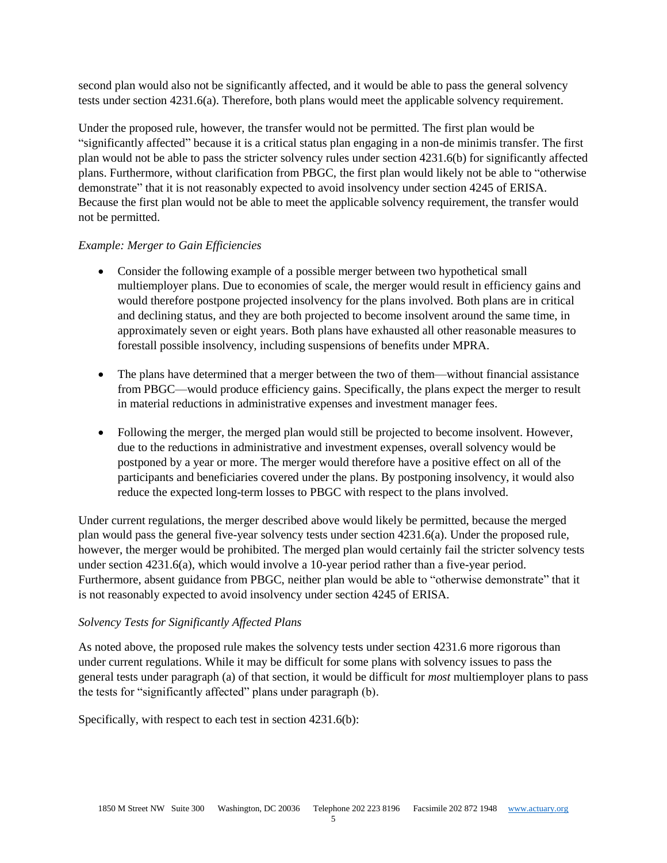second plan would also not be significantly affected, and it would be able to pass the general solvency tests under section 4231.6(a). Therefore, both plans would meet the applicable solvency requirement.

Under the proposed rule, however, the transfer would not be permitted. The first plan would be "significantly affected" because it is a critical status plan engaging in a non-de minimis transfer. The first plan would not be able to pass the stricter solvency rules under section 4231.6(b) for significantly affected plans. Furthermore, without clarification from PBGC, the first plan would likely not be able to "otherwise demonstrate" that it is not reasonably expected to avoid insolvency under section 4245 of ERISA. Because the first plan would not be able to meet the applicable solvency requirement, the transfer would not be permitted.

## *Example: Merger to Gain Efficiencies*

- Consider the following example of a possible merger between two hypothetical small multiemployer plans. Due to economies of scale, the merger would result in efficiency gains and would therefore postpone projected insolvency for the plans involved. Both plans are in critical and declining status, and they are both projected to become insolvent around the same time, in approximately seven or eight years. Both plans have exhausted all other reasonable measures to forestall possible insolvency, including suspensions of benefits under MPRA.
- The plans have determined that a merger between the two of them—without financial assistance from PBGC—would produce efficiency gains. Specifically, the plans expect the merger to result in material reductions in administrative expenses and investment manager fees.
- Following the merger, the merged plan would still be projected to become insolvent. However, due to the reductions in administrative and investment expenses, overall solvency would be postponed by a year or more. The merger would therefore have a positive effect on all of the participants and beneficiaries covered under the plans. By postponing insolvency, it would also reduce the expected long-term losses to PBGC with respect to the plans involved.

Under current regulations, the merger described above would likely be permitted, because the merged plan would pass the general five-year solvency tests under section 4231.6(a). Under the proposed rule, however, the merger would be prohibited. The merged plan would certainly fail the stricter solvency tests under section 4231.6(a), which would involve a 10-year period rather than a five-year period. Furthermore, absent guidance from PBGC, neither plan would be able to "otherwise demonstrate" that it is not reasonably expected to avoid insolvency under section 4245 of ERISA.

## *Solvency Tests for Significantly Affected Plans*

As noted above, the proposed rule makes the solvency tests under section 4231.6 more rigorous than under current regulations. While it may be difficult for some plans with solvency issues to pass the general tests under paragraph (a) of that section, it would be difficult for *most* multiemployer plans to pass the tests for "significantly affected" plans under paragraph (b).

Specifically, with respect to each test in section 4231.6(b):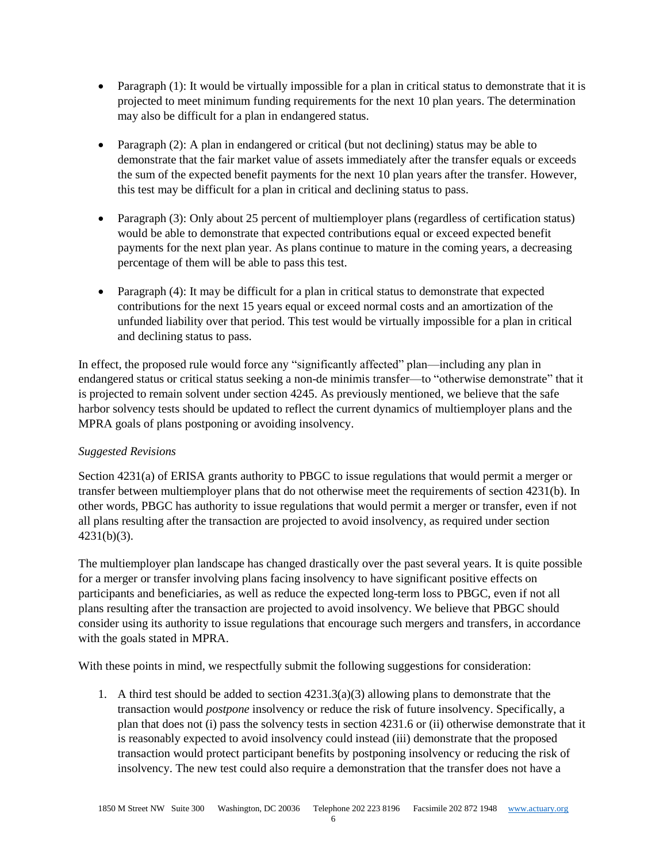- Paragraph (1): It would be virtually impossible for a plan in critical status to demonstrate that it is projected to meet minimum funding requirements for the next 10 plan years. The determination may also be difficult for a plan in endangered status.
- Paragraph (2): A plan in endangered or critical (but not declining) status may be able to demonstrate that the fair market value of assets immediately after the transfer equals or exceeds the sum of the expected benefit payments for the next 10 plan years after the transfer. However, this test may be difficult for a plan in critical and declining status to pass.
- Paragraph (3): Only about 25 percent of multiemployer plans (regardless of certification status) would be able to demonstrate that expected contributions equal or exceed expected benefit payments for the next plan year. As plans continue to mature in the coming years, a decreasing percentage of them will be able to pass this test.
- Paragraph (4): It may be difficult for a plan in critical status to demonstrate that expected contributions for the next 15 years equal or exceed normal costs and an amortization of the unfunded liability over that period. This test would be virtually impossible for a plan in critical and declining status to pass.

In effect, the proposed rule would force any "significantly affected" plan—including any plan in endangered status or critical status seeking a non-de minimis transfer—to "otherwise demonstrate" that it is projected to remain solvent under section 4245. As previously mentioned, we believe that the safe harbor solvency tests should be updated to reflect the current dynamics of multiemployer plans and the MPRA goals of plans postponing or avoiding insolvency.

# *Suggested Revisions*

Section 4231(a) of ERISA grants authority to PBGC to issue regulations that would permit a merger or transfer between multiemployer plans that do not otherwise meet the requirements of section 4231(b). In other words, PBGC has authority to issue regulations that would permit a merger or transfer, even if not all plans resulting after the transaction are projected to avoid insolvency, as required under section 4231(b)(3).

The multiemployer plan landscape has changed drastically over the past several years. It is quite possible for a merger or transfer involving plans facing insolvency to have significant positive effects on participants and beneficiaries, as well as reduce the expected long-term loss to PBGC, even if not all plans resulting after the transaction are projected to avoid insolvency. We believe that PBGC should consider using its authority to issue regulations that encourage such mergers and transfers, in accordance with the goals stated in MPRA.

With these points in mind, we respectfully submit the following suggestions for consideration:

1. A third test should be added to section  $4231.3(a)(3)$  allowing plans to demonstrate that the transaction would *postpone* insolvency or reduce the risk of future insolvency. Specifically, a plan that does not (i) pass the solvency tests in section 4231.6 or (ii) otherwise demonstrate that it is reasonably expected to avoid insolvency could instead (iii) demonstrate that the proposed transaction would protect participant benefits by postponing insolvency or reducing the risk of insolvency. The new test could also require a demonstration that the transfer does not have a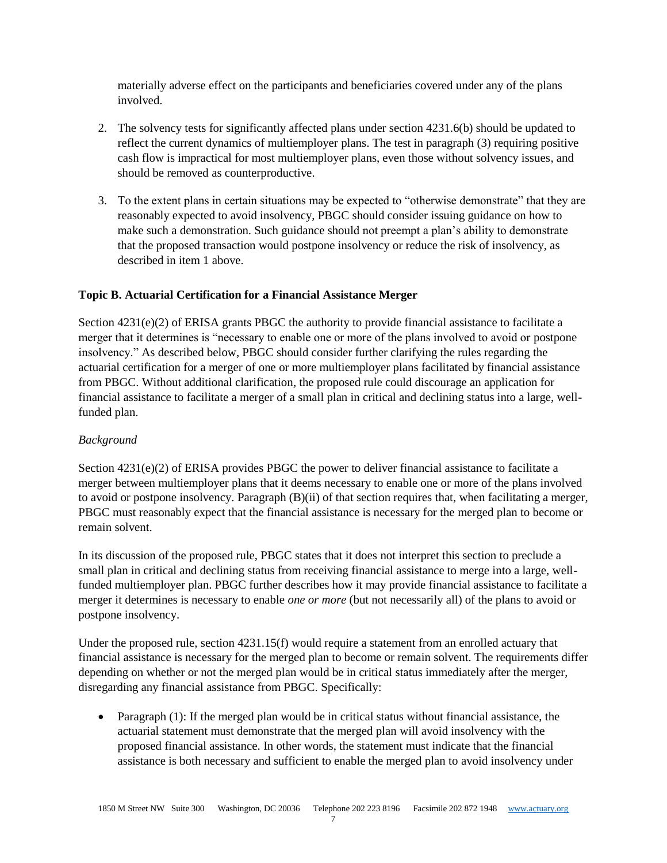materially adverse effect on the participants and beneficiaries covered under any of the plans involved.

- 2. The solvency tests for significantly affected plans under section 4231.6(b) should be updated to reflect the current dynamics of multiemployer plans. The test in paragraph (3) requiring positive cash flow is impractical for most multiemployer plans, even those without solvency issues, and should be removed as counterproductive.
- 3. To the extent plans in certain situations may be expected to "otherwise demonstrate" that they are reasonably expected to avoid insolvency, PBGC should consider issuing guidance on how to make such a demonstration. Such guidance should not preempt a plan's ability to demonstrate that the proposed transaction would postpone insolvency or reduce the risk of insolvency, as described in item 1 above.

## **Topic B. Actuarial Certification for a Financial Assistance Merger**

Section 4231(e)(2) of ERISA grants PBGC the authority to provide financial assistance to facilitate a merger that it determines is "necessary to enable one or more of the plans involved to avoid or postpone insolvency." As described below, PBGC should consider further clarifying the rules regarding the actuarial certification for a merger of one or more multiemployer plans facilitated by financial assistance from PBGC. Without additional clarification, the proposed rule could discourage an application for financial assistance to facilitate a merger of a small plan in critical and declining status into a large, wellfunded plan.

## *Background*

Section 4231(e)(2) of ERISA provides PBGC the power to deliver financial assistance to facilitate a merger between multiemployer plans that it deems necessary to enable one or more of the plans involved to avoid or postpone insolvency. Paragraph (B)(ii) of that section requires that, when facilitating a merger, PBGC must reasonably expect that the financial assistance is necessary for the merged plan to become or remain solvent.

In its discussion of the proposed rule, PBGC states that it does not interpret this section to preclude a small plan in critical and declining status from receiving financial assistance to merge into a large, wellfunded multiemployer plan. PBGC further describes how it may provide financial assistance to facilitate a merger it determines is necessary to enable *one or more* (but not necessarily all) of the plans to avoid or postpone insolvency.

Under the proposed rule, section 4231.15(f) would require a statement from an enrolled actuary that financial assistance is necessary for the merged plan to become or remain solvent. The requirements differ depending on whether or not the merged plan would be in critical status immediately after the merger, disregarding any financial assistance from PBGC. Specifically:

• Paragraph (1): If the merged plan would be in critical status without financial assistance, the actuarial statement must demonstrate that the merged plan will avoid insolvency with the proposed financial assistance. In other words, the statement must indicate that the financial assistance is both necessary and sufficient to enable the merged plan to avoid insolvency under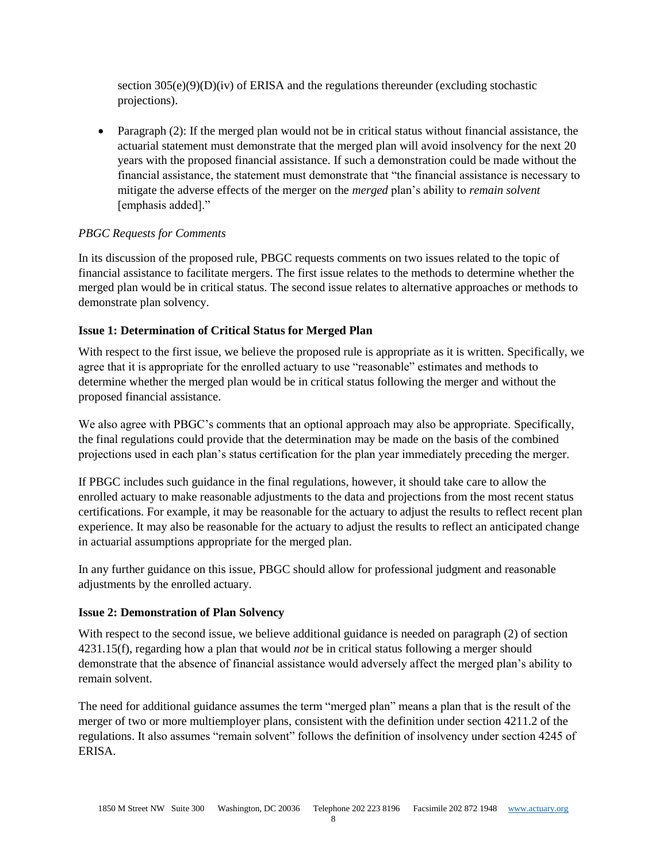section  $305(e)(9)(D)(iv)$  of ERISA and the regulations thereunder (excluding stochastic projections).

• Paragraph (2): If the merged plan would not be in critical status without financial assistance, the actuarial statement must demonstrate that the merged plan will avoid insolvency for the next 20 years with the proposed financial assistance. If such a demonstration could be made without the financial assistance, the statement must demonstrate that "the financial assistance is necessary to mitigate the adverse effects of the merger on the *merged* plan's ability to *remain solvent* [emphasis added]."

## *PBGC Requests for Comments*

In its discussion of the proposed rule, PBGC requests comments on two issues related to the topic of financial assistance to facilitate mergers. The first issue relates to the methods to determine whether the merged plan would be in critical status. The second issue relates to alternative approaches or methods to demonstrate plan solvency.

## **Issue 1: Determination of Critical Status for Merged Plan**

With respect to the first issue, we believe the proposed rule is appropriate as it is written. Specifically, we agree that it is appropriate for the enrolled actuary to use "reasonable" estimates and methods to determine whether the merged plan would be in critical status following the merger and without the proposed financial assistance.

We also agree with PBGC's comments that an optional approach may also be appropriate. Specifically, the final regulations could provide that the determination may be made on the basis of the combined projections used in each plan's status certification for the plan year immediately preceding the merger.

If PBGC includes such guidance in the final regulations, however, it should take care to allow the enrolled actuary to make reasonable adjustments to the data and projections from the most recent status certifications. For example, it may be reasonable for the actuary to adjust the results to reflect recent plan experience. It may also be reasonable for the actuary to adjust the results to reflect an anticipated change in actuarial assumptions appropriate for the merged plan.

In any further guidance on this issue, PBGC should allow for professional judgment and reasonable adjustments by the enrolled actuary.

## **Issue 2: Demonstration of Plan Solvency**

With respect to the second issue, we believe additional guidance is needed on paragraph (2) of section 4231.15(f), regarding how a plan that would *not* be in critical status following a merger should demonstrate that the absence of financial assistance would adversely affect the merged plan's ability to remain solvent.

The need for additional guidance assumes the term "merged plan" means a plan that is the result of the merger of two or more multiemployer plans, consistent with the definition under section 4211.2 of the regulations. It also assumes "remain solvent" follows the definition of insolvency under section 4245 of ERISA.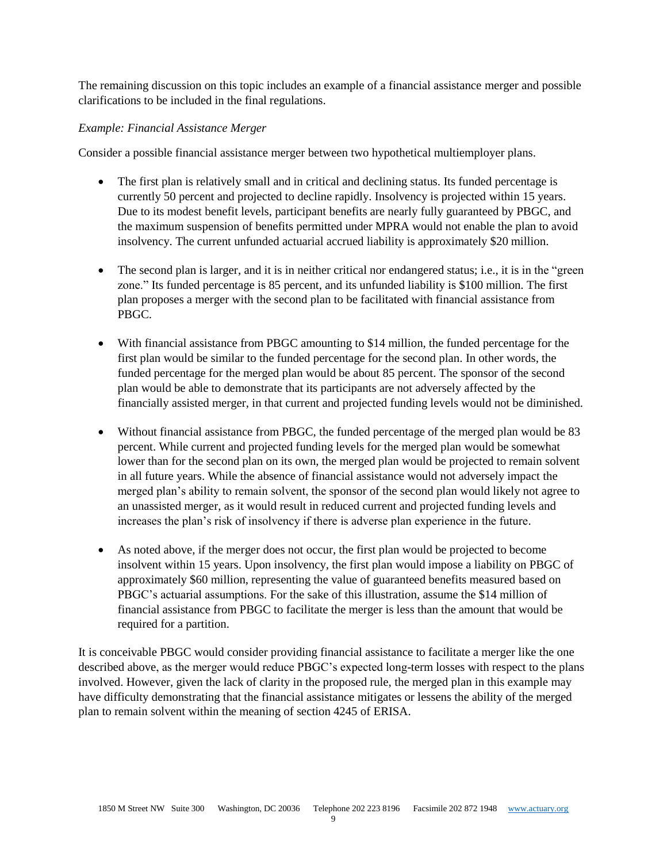The remaining discussion on this topic includes an example of a financial assistance merger and possible clarifications to be included in the final regulations.

## *Example: Financial Assistance Merger*

Consider a possible financial assistance merger between two hypothetical multiemployer plans.

- The first plan is relatively small and in critical and declining status. Its funded percentage is currently 50 percent and projected to decline rapidly. Insolvency is projected within 15 years. Due to its modest benefit levels, participant benefits are nearly fully guaranteed by PBGC, and the maximum suspension of benefits permitted under MPRA would not enable the plan to avoid insolvency. The current unfunded actuarial accrued liability is approximately \$20 million.
- The second plan is larger, and it is in neither critical nor endangered status; i.e., it is in the "green" zone." Its funded percentage is 85 percent, and its unfunded liability is \$100 million. The first plan proposes a merger with the second plan to be facilitated with financial assistance from PBGC.
- With financial assistance from PBGC amounting to \$14 million, the funded percentage for the first plan would be similar to the funded percentage for the second plan. In other words, the funded percentage for the merged plan would be about 85 percent. The sponsor of the second plan would be able to demonstrate that its participants are not adversely affected by the financially assisted merger, in that current and projected funding levels would not be diminished.
- Without financial assistance from PBGC, the funded percentage of the merged plan would be 83 percent. While current and projected funding levels for the merged plan would be somewhat lower than for the second plan on its own, the merged plan would be projected to remain solvent in all future years. While the absence of financial assistance would not adversely impact the merged plan's ability to remain solvent, the sponsor of the second plan would likely not agree to an unassisted merger, as it would result in reduced current and projected funding levels and increases the plan's risk of insolvency if there is adverse plan experience in the future.
- As noted above, if the merger does not occur, the first plan would be projected to become insolvent within 15 years. Upon insolvency, the first plan would impose a liability on PBGC of approximately \$60 million, representing the value of guaranteed benefits measured based on PBGC's actuarial assumptions. For the sake of this illustration, assume the \$14 million of financial assistance from PBGC to facilitate the merger is less than the amount that would be required for a partition.

It is conceivable PBGC would consider providing financial assistance to facilitate a merger like the one described above, as the merger would reduce PBGC's expected long-term losses with respect to the plans involved. However, given the lack of clarity in the proposed rule, the merged plan in this example may have difficulty demonstrating that the financial assistance mitigates or lessens the ability of the merged plan to remain solvent within the meaning of section 4245 of ERISA.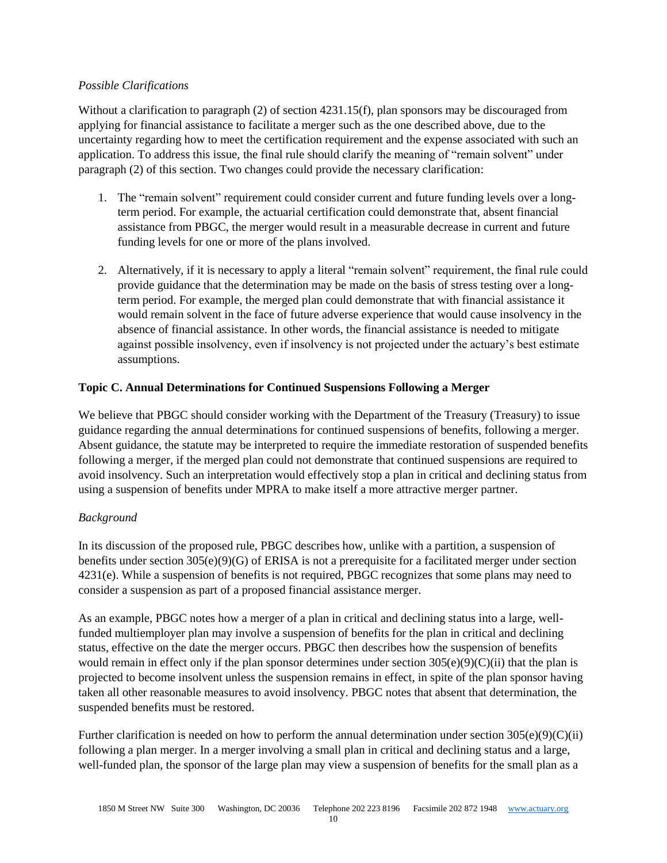#### *Possible Clarifications*

Without a clarification to paragraph (2) of section 4231.15(f), plan sponsors may be discouraged from applying for financial assistance to facilitate a merger such as the one described above, due to the uncertainty regarding how to meet the certification requirement and the expense associated with such an application. To address this issue, the final rule should clarify the meaning of "remain solvent" under paragraph (2) of this section. Two changes could provide the necessary clarification:

- 1. The "remain solvent" requirement could consider current and future funding levels over a longterm period. For example, the actuarial certification could demonstrate that, absent financial assistance from PBGC, the merger would result in a measurable decrease in current and future funding levels for one or more of the plans involved.
- 2. Alternatively, if it is necessary to apply a literal "remain solvent" requirement, the final rule could provide guidance that the determination may be made on the basis of stress testing over a longterm period. For example, the merged plan could demonstrate that with financial assistance it would remain solvent in the face of future adverse experience that would cause insolvency in the absence of financial assistance. In other words, the financial assistance is needed to mitigate against possible insolvency, even if insolvency is not projected under the actuary's best estimate assumptions.

## **Topic C. Annual Determinations for Continued Suspensions Following a Merger**

We believe that PBGC should consider working with the Department of the Treasury (Treasury) to issue guidance regarding the annual determinations for continued suspensions of benefits, following a merger. Absent guidance, the statute may be interpreted to require the immediate restoration of suspended benefits following a merger, if the merged plan could not demonstrate that continued suspensions are required to avoid insolvency. Such an interpretation would effectively stop a plan in critical and declining status from using a suspension of benefits under MPRA to make itself a more attractive merger partner.

## *Background*

In its discussion of the proposed rule, PBGC describes how, unlike with a partition, a suspension of benefits under section  $305(e)(9)(G)$  of ERISA is not a prerequisite for a facilitated merger under section 4231(e). While a suspension of benefits is not required, PBGC recognizes that some plans may need to consider a suspension as part of a proposed financial assistance merger.

As an example, PBGC notes how a merger of a plan in critical and declining status into a large, wellfunded multiemployer plan may involve a suspension of benefits for the plan in critical and declining status, effective on the date the merger occurs. PBGC then describes how the suspension of benefits would remain in effect only if the plan sponsor determines under section  $305(e)(9)(C)(ii)$  that the plan is projected to become insolvent unless the suspension remains in effect, in spite of the plan sponsor having taken all other reasonable measures to avoid insolvency. PBGC notes that absent that determination, the suspended benefits must be restored.

Further clarification is needed on how to perform the annual determination under section  $305(e)(9)(C(ii)$ following a plan merger. In a merger involving a small plan in critical and declining status and a large, well-funded plan, the sponsor of the large plan may view a suspension of benefits for the small plan as a